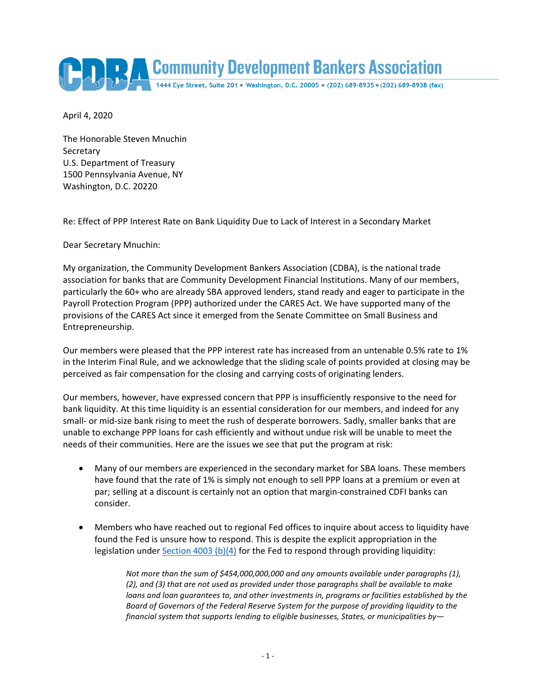

April 4, 2020

The Honorable Steven Mnuchin **Secretary** U.S. Department of Treasury 1500 Pennsylvania Avenue, NY Washington, D.C. 20220

Re: Effect of PPP Interest Rate on Bank Liquidity Due to Lack of Interest in a Secondary Market

Dear Secretary Mnuchin:

My organization, the Community Development Bankers Association (CDBA), is the national trade association for banks that are Community Development Financial Institutions. Many of our members, particularly the 60+ who are already SBA approved lenders, stand ready and eager to participate in the Payroll Protection Program (PPP) authorized under the CARES Act. We have supported many of the provisions of the CARES Act since it emerged from the Senate Committee on Small Business and Entrepreneurship.

Our members were pleased that the PPP interest rate has increased from an untenable 0.5% rate to 1% in the Interim Final Rule, and we acknowledge that the sliding scale of points provided at closing may be perceived as fair compensation for the closing and carrying costs of originating lenders.

Our members, however, have expressed concern that PPP is insufficiently responsive to the need for bank liquidity. At this time liquidity is an essential consideration for our members, and indeed for any small- or mid-size bank rising to meet the rush of desperate borrowers. Sadly, smaller banks that are unable to exchange PPP loans for cash efficiently and without undue risk will be unable to meet the needs of their communities. Here are the issues we see that put the program at risk:

- Many of our members are experienced in the secondary market for SBA loans. These members have found that the rate of 1% is simply not enough to sell PPP loans at a premium or even at par; selling at a discount is certainly not an option that margin-constrained CDFI banks can consider.
- Members who have reached out to regional Fed offices to inquire about access to liquidity have found the Fed is unsure how to respond. This is despite the explicit appropriation in the legislation unde[r Section 4003 \(b\)\(4\)](https://www.congress.gov/bill/116th-congress/house-bill/748/text#H4F958047756F4BBBA9C8278034E571CB) for the Fed to respond through providing liquidity:

*Not more than the sum of \$454,000,000,000 and any amounts available under paragraphs (1), (2), and (3) that are not used as provided under those paragraphs shall be available to make loans and loan guarantees to, and other investments in, programs or facilities established by the Board of Governors of the Federal Reserve System for the purpose of providing liquidity to the financial system that supports lending to eligible businesses, States, or municipalities by—*